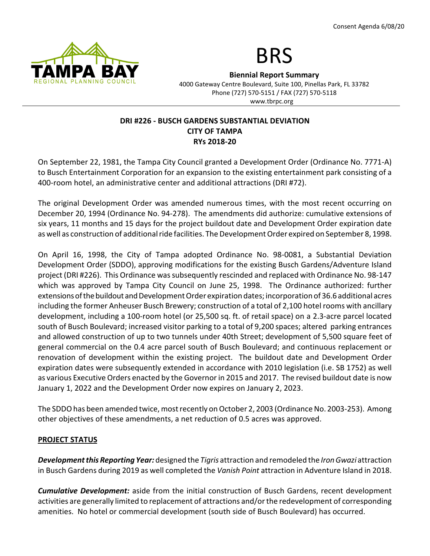



Biennial Report Summary

4000 Gateway Centre Boulevard, Suite 100, Pinellas Park, FL 33782 Phone (727) 570-5151 / FAX (727) 570-5118 www.tbrpc.org

## DRI #226 - BUSCH GARDENS SUBSTANTIAL DEVIATION CITY OF TAMPA RYs 2018-20

On September 22, 1981, the Tampa City Council granted a Development Order (Ordinance No. 7771-A) to Busch Entertainment Corporation for an expansion to the existing entertainment park consisting of a 400-room hotel, an administrative center and additional attractions (DRI #72).

The original Development Order was amended numerous times, with the most recent occurring on December 20, 1994 (Ordinance No. 94-278). The amendments did authorize: cumulative extensions of six years, 11 months and 15 days for the project buildout date and Development Order expiration date as well as construction of additional ride facilities. The Development Order expired on September 8, 1998.

On April 16, 1998, the City of Tampa adopted Ordinance No. 98-0081, a Substantial Deviation Development Order (SDDO), approving modifications for the existing Busch Gardens/Adventure Island project (DRI #226). This Ordinance was subsequently rescinded and replaced with Ordinance No. 98-147 which was approved by Tampa City Council on June 25, 1998. The Ordinance authorized: further extensions of the buildout and Development Order expiration dates; incorporation of 36.6 additional acres including the former Anheuser Busch Brewery; construction of a total of 2,100 hotel rooms with ancillary development, including a 100-room hotel (or 25,500 sq. ft. of retail space) on a 2.3-acre parcel located south of Busch Boulevard; increased visitor parking to a total of 9,200 spaces; altered parking entrances and allowed construction of up to two tunnels under 40th Street; development of 5,500 square feet of general commercial on the 0.4 acre parcel south of Busch Boulevard; and continuous replacement or renovation of development within the existing project. The buildout date and Development Order expiration dates were subsequently extended in accordance with 2010 legislation (i.e. SB 1752) as well as various Executive Orders enacted by the Governor in 2015 and 2017. The revised buildout date is now January 1, 2022 and the Development Order now expires on January 2, 2023.

The SDDO has been amended twice, most recently on October 2, 2003 (Ordinance No. 2003-253). Among other objectives of these amendments, a net reduction of 0.5 acres was approved.

# PROJECT STATUS

Development this Reporting Year: designed the Tigris attraction and remodeled the Iron Gwazi attraction in Busch Gardens during 2019 as well completed the Vanish Point attraction in Adventure Island in 2018.

**Cumulative Development:** aside from the initial construction of Busch Gardens, recent development activities are generally limited to replacement of attractions and/or the redevelopment of corresponding amenities. No hotel or commercial development (south side of Busch Boulevard) has occurred.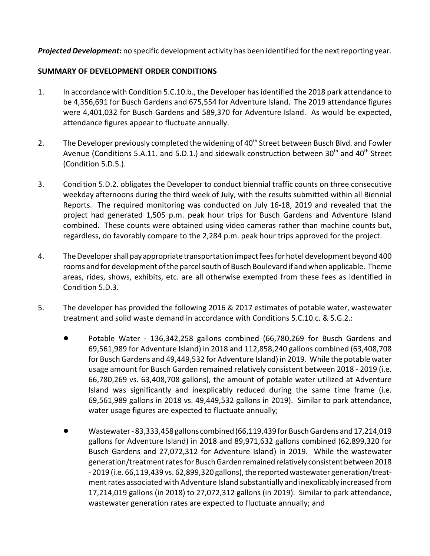**Projected Development:** no specific development activity has been identified for the next reporting year.

#### SUMMARY OF DEVELOPMENT ORDER CONDITIONS

- 1. In accordance with Condition 5.C.10.b., the Developer has identified the 2018 park attendance to be 4,356,691 for Busch Gardens and 675,554 for Adventure Island. The 2019 attendance figures were 4,401,032 for Busch Gardens and 589,370 for Adventure Island. As would be expected, attendance figures appear to fluctuate annually.
- 2. The Developer previously completed the widening of 40<sup>th</sup> Street between Busch Blvd. and Fowler Avenue (Conditions 5.A.11. and 5.D.1.) and sidewalk construction between  $30<sup>th</sup>$  and  $40<sup>th</sup>$  Street (Condition 5.D.5.).
- 3. Condition 5.D.2. obligates the Developer to conduct biennial traffic counts on three consecutive weekday afternoons during the third week of July, with the results submitted within all Biennial Reports. The required monitoring was conducted on July 16-18, 2019 and revealed that the project had generated 1,505 p.m. peak hour trips for Busch Gardens and Adventure Island combined. These counts were obtained using video cameras rather than machine counts but, regardless, do favorably compare to the 2,284 p.m. peak hour trips approved for the project.
- 4. The Developer shall pay appropriate transportation impact fees for hotel development beyond 400 rooms and for development of the parcel south of Busch Boulevard if and when applicable. Theme areas, rides, shows, exhibits, etc. are all otherwise exempted from these fees as identified in Condition 5.D.3.
- 5. The developer has provided the following 2016 & 2017 estimates of potable water, wastewater treatment and solid waste demand in accordance with Conditions 5.C.10.c. & 5.G.2.:
	- Potable Water 136,342,258 gallons combined (66,780,269 for Busch Gardens and 69,561,989 for Adventure Island) in 2018 and 112,858,240 gallons combined (63,408,708 for Busch Gardens and 49,449,532 for Adventure Island) in 2019. While the potable water usage amount for Busch Garden remained relatively consistent between 2018 - 2019 (i.e. 66,780,269 vs. 63,408,708 gallons), the amount of potable water utilized at Adventure Island was significantly and inexplicably reduced during the same time frame (i.e. 69,561,989 gallons in 2018 vs. 49,449,532 gallons in 2019). Similar to park attendance, water usage figures are expected to fluctuate annually;
	- ! Wastewater 83,333,458 gallons combined (66,119,439 for Busch Gardens and 17,214,019 gallons for Adventure Island) in 2018 and 89,971,632 gallons combined (62,899,320 for Busch Gardens and 27,072,312 for Adventure Island) in 2019. While the wastewater generation/treatment rates for Busch Garden remained relatively consistent between 2018 - 2019 (i.e. 66,119,439 vs. 62,899,320 gallons), the reported wastewater generation/treatment rates associated with Adventure Island substantially and inexplicably increased from 17,214,019 gallons (in 2018) to 27,072,312 gallons (in 2019). Similar to park attendance, wastewater generation rates are expected to fluctuate annually; and